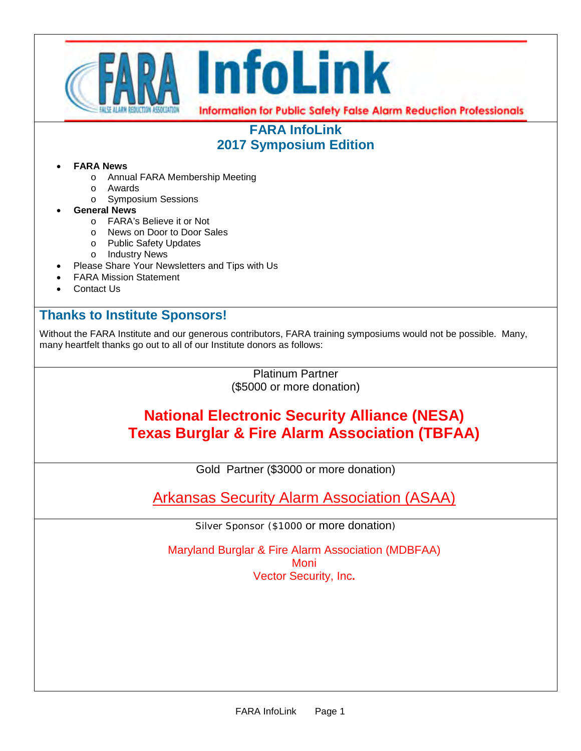

# **FARA InfoLink 2017 Symposium Edition**

### • **FARA News**

- o Annual FARA Membership Meeting
- o Awards
	- o Symposium Sessions
- **General News** 
	- o FARA's Believe it or Not
	- o News on Door to Door Sales
	- o Public Safety Updates
	- o Industry News
- Please Share Your Newsletters and Tips with Us
- FARA Mission Statement
- Contact Us

# **Thanks to Institute Sponsors!**

Without the FARA Institute and our generous contributors, FARA training symposiums would not be possible. Many, many heartfelt thanks go out to all of our Institute donors as follows:

> Platinum Partner (\$5000 or more donation)

# **National Electronic Security Alliance (NESA) Texas Burglar & Fire Alarm Association (TBFAA)**

Gold Partner (\$3000 or more donation)

Arkansas Security Alarm Association (ASAA)

Silver Sponsor (\$1000 or more donation)

Maryland Burglar & Fire Alarm Association (MDBFAA) **Moni** Vector Security, Inc**.**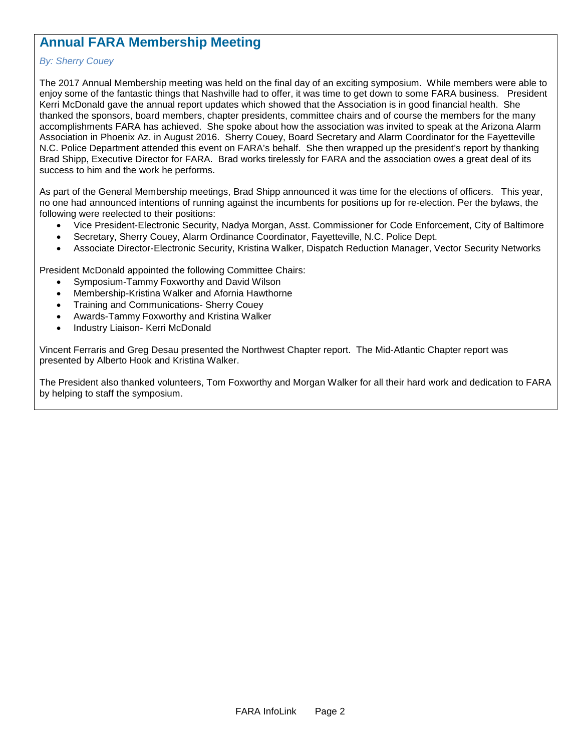# **Annual FARA Membership Meeting**

### *By: Sherry Couey*

The 2017 Annual Membership meeting was held on the final day of an exciting symposium. While members were able to enjoy some of the fantastic things that Nashville had to offer, it was time to get down to some FARA business. President Kerri McDonald gave the annual report updates which showed that the Association is in good financial health. She thanked the sponsors, board members, chapter presidents, committee chairs and of course the members for the many accomplishments FARA has achieved. She spoke about how the association was invited to speak at the Arizona Alarm Association in Phoenix Az. in August 2016. Sherry Couey, Board Secretary and Alarm Coordinator for the Fayetteville N.C. Police Department attended this event on FARA's behalf. She then wrapped up the president's report by thanking Brad Shipp, Executive Director for FARA. Brad works tirelessly for FARA and the association owes a great deal of its success to him and the work he performs.

As part of the General Membership meetings, Brad Shipp announced it was time for the elections of officers. This year, no one had announced intentions of running against the incumbents for positions up for re-election. Per the bylaws, the following were reelected to their positions:

- Vice President-Electronic Security, Nadya Morgan, Asst. Commissioner for Code Enforcement, City of Baltimore
- Secretary, Sherry Couey, Alarm Ordinance Coordinator, Fayetteville, N.C. Police Dept.
- Associate Director-Electronic Security, Kristina Walker, Dispatch Reduction Manager, Vector Security Networks

President McDonald appointed the following Committee Chairs:

- Symposium-Tammy Foxworthy and David Wilson
- Membership-Kristina Walker and Afornia Hawthorne
- Training and Communications- Sherry Couey
- Awards-Tammy Foxworthy and Kristina Walker
- Industry Liaison- Kerri McDonald

Vincent Ferraris and Greg Desau presented the Northwest Chapter report. The Mid-Atlantic Chapter report was presented by Alberto Hook and Kristina Walker.

The President also thanked volunteers, Tom Foxworthy and Morgan Walker for all their hard work and dedication to FARA by helping to staff the symposium.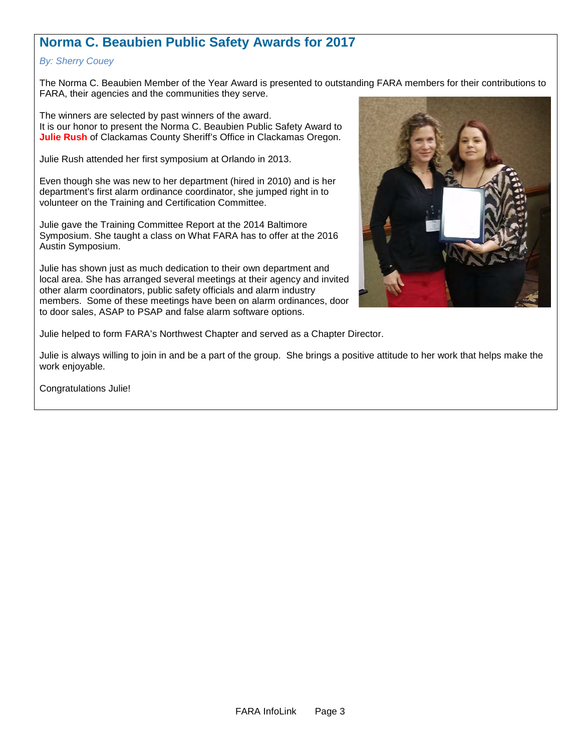# **Norma C. Beaubien Public Safety Awards for 2017**

### *By: Sherry Couey*

The Norma C. Beaubien Member of the Year Award is presented to outstanding FARA members for their contributions to FARA, their agencies and the communities they serve.

The winners are selected by past winners of the award. It is our honor to present the Norma C. Beaubien Public Safety Award to **Julie Rush** of Clackamas County Sheriff's Office in Clackamas Oregon.

Julie Rush attended her first symposium at Orlando in 2013.

Even though she was new to her department (hired in 2010) and is her department's first alarm ordinance coordinator, she jumped right in to volunteer on the Training and Certification Committee.

Julie gave the Training Committee Report at the 2014 Baltimore Symposium. She taught a class on What FARA has to offer at the 2016 Austin Symposium.

Julie has shown just as much dedication to their own department and local area. She has arranged several meetings at their agency and invited other alarm coordinators, public safety officials and alarm industry members. Some of these meetings have been on alarm ordinances, door to door sales, ASAP to PSAP and false alarm software options.



Julie helped to form FARA's Northwest Chapter and served as a Chapter Director.

Julie is always willing to join in and be a part of the group. She brings a positive attitude to her work that helps make the work enjoyable.

Congratulations Julie!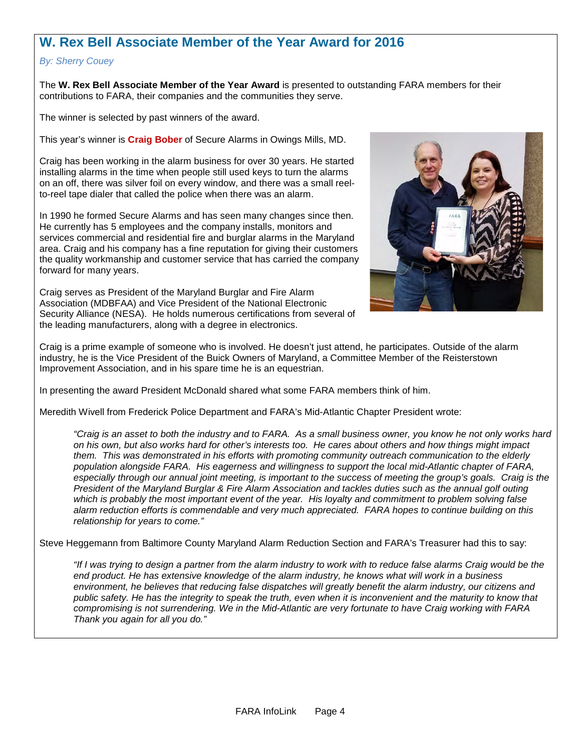# **W. Rex Bell Associate Member of the Year Award for 2016**

#### *By: Sherry Couey*

The **W. Rex Bell Associate Member of the Year Award** is presented to outstanding FARA members for their contributions to FARA, their companies and the communities they serve.

The winner is selected by past winners of the award.

This year's winner is **Craig Bober** of Secure Alarms in Owings Mills, MD.

Craig has been working in the alarm business for over 30 years. He started installing alarms in the time when people still used keys to turn the alarms on an off, there was silver foil on every window, and there was a small reelto-reel tape dialer that called the police when there was an alarm.

In 1990 he formed Secure Alarms and has seen many changes since then. He currently has 5 employees and the company installs, monitors and services commercial and residential fire and burglar alarms in the Maryland area. Craig and his company has a fine reputation for giving their customers the quality workmanship and customer service that has carried the company forward for many years.

Craig serves as President of the Maryland Burglar and Fire Alarm Association (MDBFAA) and Vice President of the National Electronic Security Alliance (NESA). He holds numerous certifications from several of the leading manufacturers, along with a degree in electronics.



Craig is a prime example of someone who is involved. He doesn't just attend, he participates. Outside of the alarm industry, he is the Vice President of the Buick Owners of Maryland, a Committee Member of the Reisterstown Improvement Association, and in his spare time he is an equestrian.

In presenting the award President McDonald shared what some FARA members think of him.

Meredith Wivell from Frederick Police Department and FARA's Mid-Atlantic Chapter President wrote:

*"Craig is an asset to both the industry and to FARA. As a small business owner, you know he not only works hard on his own, but also works hard for other's interests too. He cares about others and how things might impact them. This was demonstrated in his efforts with promoting community outreach communication to the elderly population alongside FARA. His eagerness and willingness to support the local mid-Atlantic chapter of FARA, especially through our annual joint meeting, is important to the success of meeting the group's goals. Craig is the President of the Maryland Burglar & Fire Alarm Association and tackles duties such as the annual golf outing which is probably the most important event of the year. His loyalty and commitment to problem solving false alarm reduction efforts is commendable and very much appreciated. FARA hopes to continue building on this relationship for years to come."* 

Steve Heggemann from Baltimore County Maryland Alarm Reduction Section and FARA's Treasurer had this to say:

*"If I was trying to design a partner from the alarm industry to work with to reduce false alarms Craig would be the end product. He has extensive knowledge of the alarm industry, he knows what will work in a business environment, he believes that reducing false dispatches will greatly benefit the alarm industry, our citizens and*  public safety. He has the integrity to speak the truth, even when it is inconvenient and the maturity to know that *compromising is not surrendering. We in the Mid-Atlantic are very fortunate to have Craig working with FARA Thank you again for all you do."*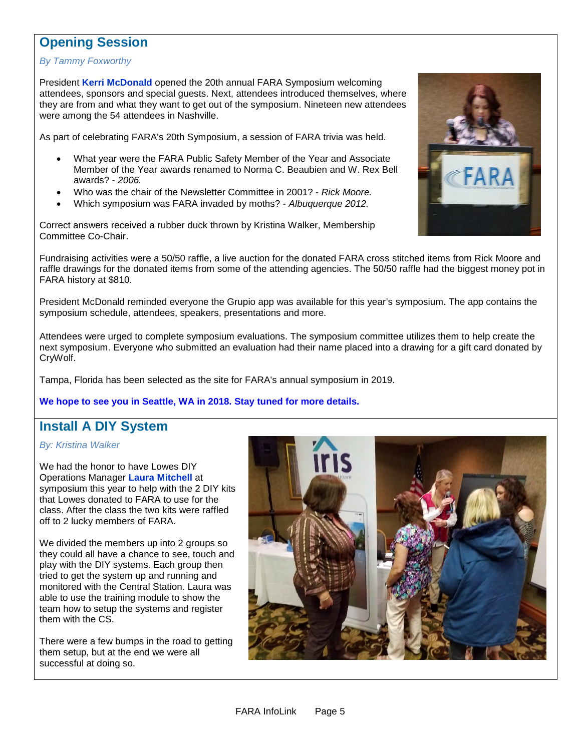### **Opening Session**

#### *By Tammy Foxworthy*

President **Kerri McDonald** opened the 20th annual FARA Symposium welcoming attendees, sponsors and special guests. Next, attendees introduced themselves, where they are from and what they want to get out of the symposium. Nineteen new attendees were among the 54 attendees in Nashville.

As part of celebrating FARA's 20th Symposium, a session of FARA trivia was held.

- What year were the FARA Public Safety Member of the Year and Associate Member of the Year awards renamed to Norma C. Beaubien and W. Rex Bell awards? - *2006.*
- Who was the chair of the Newsletter Committee in 2001? *Rick Moore.*
- Which symposium was FARA invaded by moths? *Albuquerque 2012.*

Correct answers received a rubber duck thrown by Kristina Walker, Membership Committee Co-Chair.

Fundraising activities were a 50/50 raffle, a live auction for the donated FARA cross stitched items from Rick Moore and raffle drawings for the donated items from some of the attending agencies. The 50/50 raffle had the biggest money pot in FARA history at \$810.

President McDonald reminded everyone the Grupio app was available for this year's symposium. The app contains the symposium schedule, attendees, speakers, presentations and more.

Attendees were urged to complete symposium evaluations. The symposium committee utilizes them to help create the next symposium. Everyone who submitted an evaluation had their name placed into a drawing for a gift card donated by CryWolf.

Tampa, Florida has been selected as the site for FARA's annual symposium in 2019.

#### **We hope to see you in Seattle, WA in 2018. Stay tuned for more details.**

### **Install A DIY System**

#### *By: Kristina Walker*

We had the honor to have Lowes DIY Operations Manager **Laura Mitchell** at symposium this year to help with the 2 DIY kits that Lowes donated to FARA to use for the class. After the class the two kits were raffled off to 2 lucky members of FARA.

We divided the members up into 2 groups so they could all have a chance to see, touch and play with the DIY systems. Each group then tried to get the system up and running and monitored with the Central Station. Laura was able to use the training module to show the team how to setup the systems and register them with the CS.

There were a few bumps in the road to getting them setup, but at the end we were all successful at doing so.



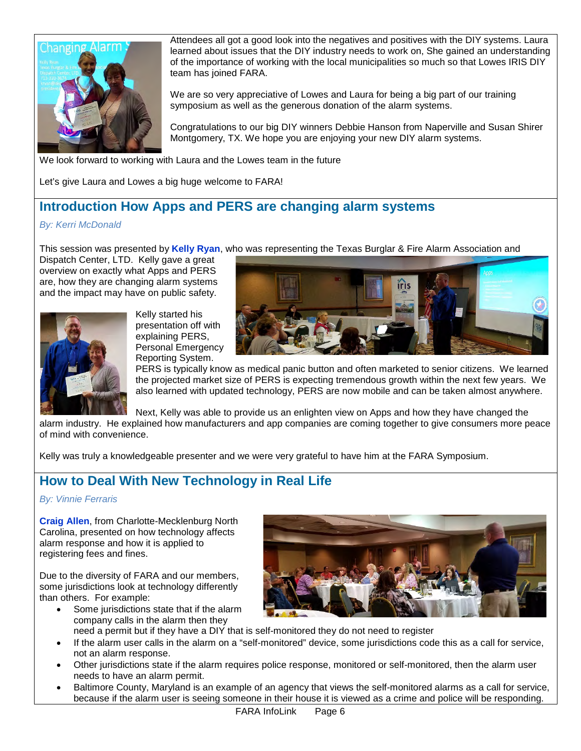

Attendees all got a good look into the negatives and positives with the DIY systems. Laura learned about issues that the DIY industry needs to work on, She gained an understanding of the importance of working with the local municipalities so much so that Lowes IRIS DIY team has joined FARA.

We are so very appreciative of Lowes and Laura for being a big part of our training symposium as well as the generous donation of the alarm systems.

Congratulations to our big DIY winners Debbie Hanson from Naperville and Susan Shirer Montgomery, TX. We hope you are enjoying your new DIY alarm systems.

We look forward to working with Laura and the Lowes team in the future

Let's give Laura and Lowes a big huge welcome to FARA!

### **Introduction How Apps and PERS are changing alarm systems**

#### *By: Kerri McDonald*

This session was presented by **Kelly Ryan**, who was representing the Texas Burglar & Fire Alarm Association and

Dispatch Center, LTD. Kelly gave a great overview on exactly what Apps and PERS are, how they are changing alarm systems and the impact may have on public safety.



Kelly started his presentation off with explaining PERS, Personal Emergency Reporting System.



PERS is typically know as medical panic button and often marketed to senior citizens. We learned the projected market size of PERS is expecting tremendous growth within the next few years. We also learned with updated technology, PERS are now mobile and can be taken almost anywhere.

Next, Kelly was able to provide us an enlighten view on Apps and how they have changed the

alarm industry. He explained how manufacturers and app companies are coming together to give consumers more peace of mind with convenience.

Kelly was truly a knowledgeable presenter and we were very grateful to have him at the FARA Symposium.

### **How to Deal With New Technology in Real Life**

#### *By: Vinnie Ferraris*

**Craig Allen**, from Charlotte-Mecklenburg North Carolina, presented on how technology affects alarm response and how it is applied to registering fees and fines.

Due to the diversity of FARA and our members, some jurisdictions look at technology differently than others. For example:

• Some jurisdictions state that if the alarm company calls in the alarm then they



- need a permit but if they have a DIY that is self-monitored they do not need to register • If the alarm user calls in the alarm on a "self-monitored" device, some jurisdictions code this as a call for service, not an alarm response.
- Other jurisdictions state if the alarm requires police response, monitored or self-monitored, then the alarm user needs to have an alarm permit.
- Baltimore County, Maryland is an example of an agency that views the self-monitored alarms as a call for service, because if the alarm user is seeing someone in their house it is viewed as a crime and police will be responding.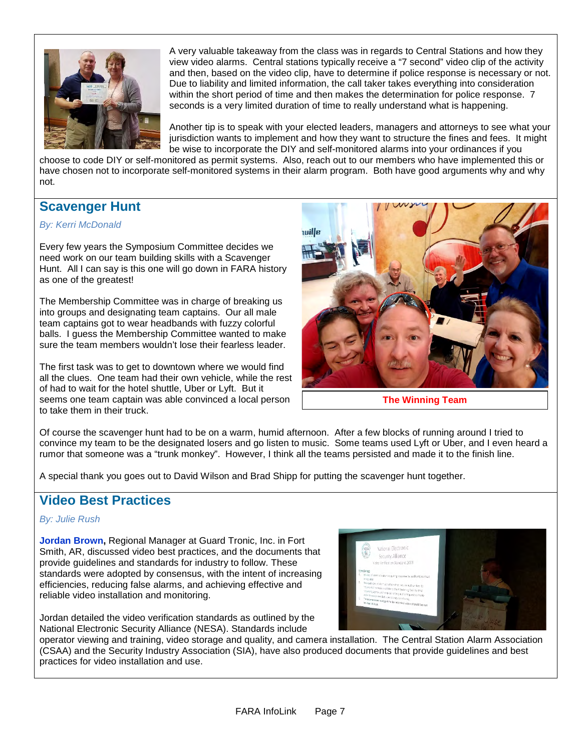

A very valuable takeaway from the class was in regards to Central Stations and how they view video alarms. Central stations typically receive a "7 second" video clip of the activity and then, based on the video clip, have to determine if police response is necessary or not. Due to liability and limited information, the call taker takes everything into consideration within the short period of time and then makes the determination for police response. 7 seconds is a very limited duration of time to really understand what is happening.

Another tip is to speak with your elected leaders, managers and attorneys to see what your jurisdiction wants to implement and how they want to structure the fines and fees. It might be wise to incorporate the DIY and self-monitored alarms into your ordinances if you

choose to code DIY or self-monitored as permit systems. Also, reach out to our members who have implemented this or have chosen not to incorporate self-monitored systems in their alarm program. Both have good arguments why and why not.

# **Scavenger Hunt**

### *By: Kerri McDonald*

Every few years the Symposium Committee decides we need work on our team building skills with a Scavenger Hunt. All I can say is this one will go down in FARA history as one of the greatest!

The Membership Committee was in charge of breaking us into groups and designating team captains. Our all male team captains got to wear headbands with fuzzy colorful balls. I guess the Membership Committee wanted to make sure the team members wouldn't lose their fearless leader.

The first task was to get to downtown where we would find all the clues. One team had their own vehicle, while the rest of had to wait for the hotel shuttle, Uber or Lyft. But it seems one team captain was able convinced a local person to take them in their truck.



**The Winning Team**

Of course the scavenger hunt had to be on a warm, humid afternoon. After a few blocks of running around I tried to convince my team to be the designated losers and go listen to music. Some teams used Lyft or Uber, and I even heard a rumor that someone was a "trunk monkey". However, I think all the teams persisted and made it to the finish line.

A special thank you goes out to David Wilson and Brad Shipp for putting the scavenger hunt together.

### **Video Best Practices**

### *By: Julie Rush*

**Jordan Brown,** Regional Manager at Guard Tronic, Inc. in Fort Smith, AR, discussed video best practices, and the documents that provide guidelines and standards for industry to follow. These standards were adopted by consensus, with the intent of increasing efficiencies, reducing false alarms, and achieving effective and reliable video installation and monitoring.



Jordan detailed the video verification standards as outlined by the National Electronic Security Alliance (NESA). Standards include

operator viewing and training, video storage and quality, and camera installation. The Central Station Alarm Association (CSAA) and the Security Industry Association (SIA), have also produced documents that provide guidelines and best practices for video installation and use.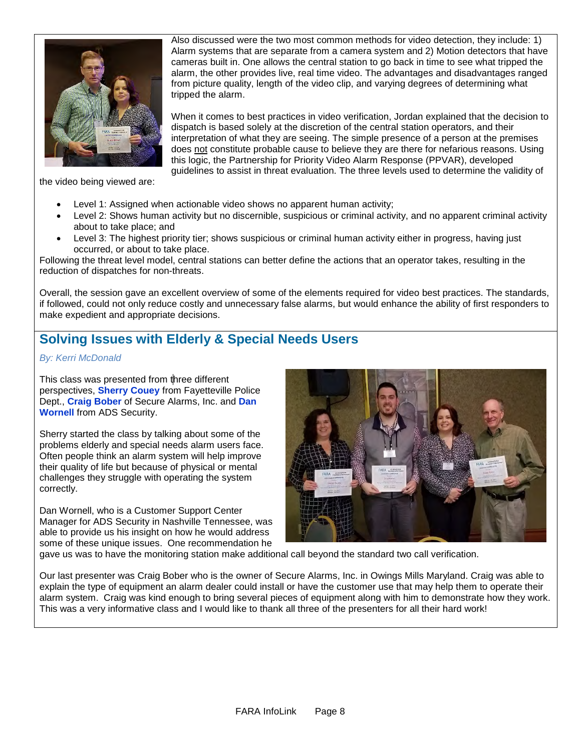

the video being viewed are:

- Level 1: Assigned when actionable video shows no apparent human activity;
- Level 2: Shows human activity but no discernible, suspicious or criminal activity, and no apparent criminal activity about to take place; and
- Level 3: The highest priority tier; shows suspicious or criminal human activity either in progress, having just occurred, or about to take place.

Following the threat level model, central stations can better define the actions that an operator takes, resulting in the reduction of dispatches for non-threats.

Overall, the session gave an excellent overview of some of the elements required for video best practices. The standards, if followed, could not only reduce costly and unnecessary false alarms, but would enhance the ability of first responders to make expedient and appropriate decisions.

### **Solving Issues with Elderly & Special Needs Users**

### *By: Kerri McDonald*

This class was presented from three different perspectives, **Sherry Couey** from Fayetteville Police Dept., **Craig Bober** of Secure Alarms, Inc. and **Dan Wornell** from ADS Security.

Sherry started the class by talking about some of the problems elderly and special needs alarm users face. Often people think an alarm system will help improve their quality of life but because of physical or mental challenges they struggle with operating the system correctly.

Dan Wornell, who is a Customer Support Center Manager for ADS Security in Nashville Tennessee, was able to provide us his insight on how he would address some of these unique issues. One recommendation he



gave us was to have the monitoring station make additional call beyond the standard two call verification.

Our last presenter was Craig Bober who is the owner of Secure Alarms, Inc. in Owings Mills Maryland. Craig was able to explain the type of equipment an alarm dealer could install or have the customer use that may help them to operate their alarm system. Craig was kind enough to bring several pieces of equipment along with him to demonstrate how they work. This was a very informative class and I would like to thank all three of the presenters for all their hard work!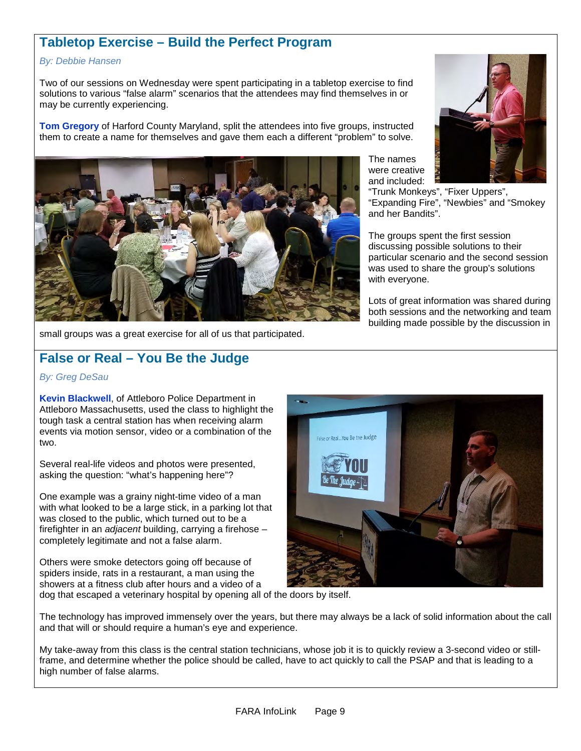### **Tabletop Exercise – Build the Perfect Program**

#### *By: Debbie Hansen*

Two of our sessions on Wednesday were spent participating in a tabletop exercise to find solutions to various "false alarm" scenarios that the attendees may find themselves in or may be currently experiencing.

**Tom Gregory** of Harford County Maryland, split the attendees into five groups, instructed them to create a name for themselves and gave them each a different "problem" to solve.



small groups was a great exercise for all of us that participated.

# **False or Real – You Be the Judge**

#### *By: Greg DeSau*

**Kevin Blackwell**, of Attleboro Police Department in Attleboro Massachusetts, used the class to highlight the tough task a central station has when receiving alarm events via motion sensor, video or a combination of the two.

Several real-life videos and photos were presented, asking the question: "what's happening here"?

One example was a grainy night-time video of a man with what looked to be a large stick, in a parking lot that was closed to the public, which turned out to be a firefighter in an *adjacent* building, carrying a firehose – completely legitimate and not a false alarm.

Others were smoke detectors going off because of spiders inside, rats in a restaurant, a man using the showers at a fitness club after hours and a video of a The names were creative and included:

"Trunk Monkeys", "Fixer Uppers", "Expanding Fire", "Newbies" and "Smokey and her Bandits".

The groups spent the first session discussing possible solutions to their particular scenario and the second session was used to share the group's solutions with everyone.

Lots of great information was shared during both sessions and the networking and team building made possible by the discussion in



dog that escaped a veterinary hospital by opening all of the doors by itself.

The technology has improved immensely over the years, but there may always be a lack of solid information about the call and that will or should require a human's eye and experience.

My take-away from this class is the central station technicians, whose job it is to quickly review a 3-second video or stillframe, and determine whether the police should be called, have to act quickly to call the PSAP and that is leading to a high number of false alarms.

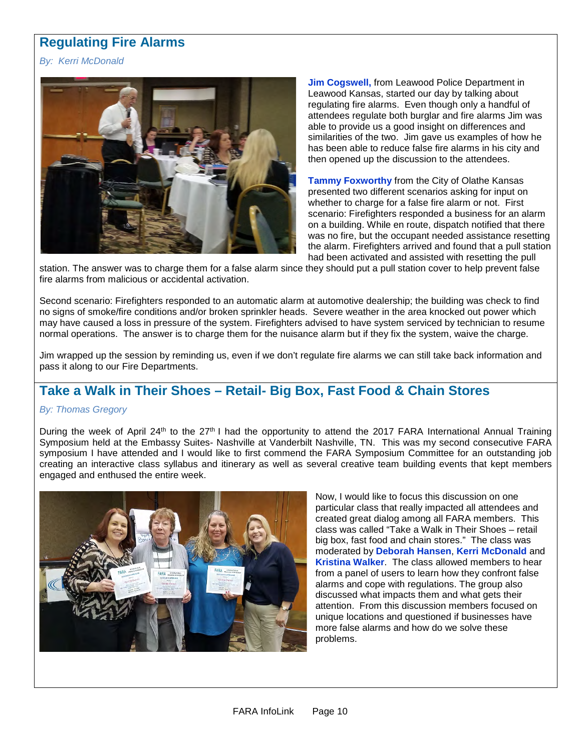# **Regulating Fire Alarms**

*By: Kerri McDonald*



**Jim Cogswell, from Leawood Police Department in** Leawood Kansas, started our day by talking about regulating fire alarms. Even though only a handful of attendees regulate both burglar and fire alarms Jim was able to provide us a good insight on differences and similarities of the two. Jim gave us examples of how he has been able to reduce false fire alarms in his city and then opened up the discussion to the attendees.

**Tammy Foxworthy** from the City of Olathe Kansas presented two different scenarios asking for input on whether to charge for a false fire alarm or not. First scenario: Firefighters responded a business for an alarm on a building. While en route, dispatch notified that there was no fire, but the occupant needed assistance resetting the alarm. Firefighters arrived and found that a pull station had been activated and assisted with resetting the pull

station. The answer was to charge them for a false alarm since they should put a pull station cover to help prevent false fire alarms from malicious or accidental activation.

Second scenario: Firefighters responded to an automatic alarm at automotive dealership; the building was check to find no signs of smoke/fire conditions and/or broken sprinkler heads. Severe weather in the area knocked out power which may have caused a loss in pressure of the system. Firefighters advised to have system serviced by technician to resume normal operations. The answer is to charge them for the nuisance alarm but if they fix the system, waive the charge.

Jim wrapped up the session by reminding us, even if we don't regulate fire alarms we can still take back information and pass it along to our Fire Departments.

### **Take a Walk in Their Shoes – Retail- Big Box, Fast Food & Chain Stores**

### *By: Thomas Gregory*

During the week of April 24<sup>th</sup> to the 27<sup>th</sup> I had the opportunity to attend the 2017 FARA International Annual Training Symposium held at the Embassy Suites- Nashville at Vanderbilt Nashville, TN. This was my second consecutive FARA symposium I have attended and I would like to first commend the FARA Symposium Committee for an outstanding job creating an interactive class syllabus and itinerary as well as several creative team building events that kept members engaged and enthused the entire week.



Now, I would like to focus this discussion on one particular class that really impacted all attendees and created great dialog among all FARA members. This class was called "Take a Walk in Their Shoes – retail big box, fast food and chain stores." The class was moderated by **Deborah Hansen**, **Kerri McDonald** and **Kristina Walker**. The class allowed members to hear from a panel of users to learn how they confront false alarms and cope with regulations. The group also discussed what impacts them and what gets their attention. From this discussion members focused on unique locations and questioned if businesses have more false alarms and how do we solve these problems.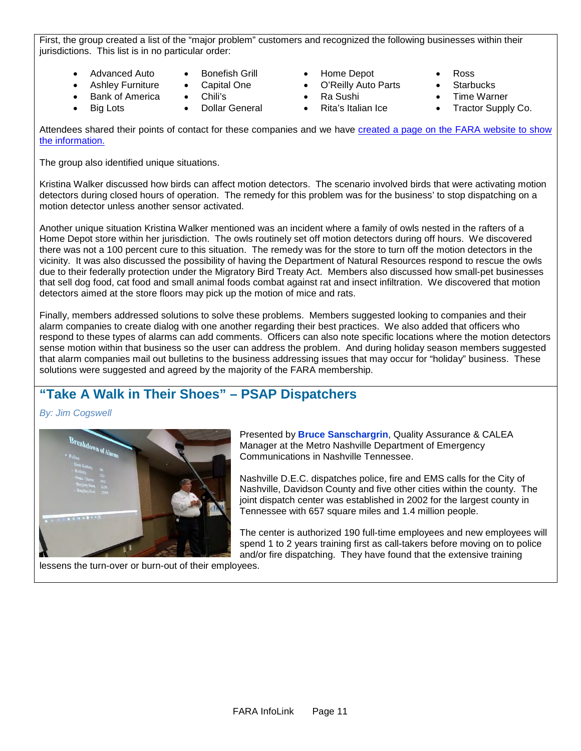First, the group created a list of the "major problem" customers and recognized the following businesses within their jurisdictions. This list is in no particular order:

• Advanced Auto

**Big Lots** 

- Ashley Furniture Bonefish Grill Capital One
- **Bank of America** 
	- Chili's • Dollar General
- Home Depot
- O'Reilly Auto Parts
- Ra Sushi
- Rita's Italian Ice
- Ross
- **Starbucks**
- **Time Warner**
- Tractor Supply Co.

Attendees shared their points of contact for these companies and we have [created a page on the FARA website to show](http://faraonline.org/chain-store-contact-information/)  [the information.](http://faraonline.org/chain-store-contact-information/)

The group also identified unique situations.

Kristina Walker discussed how birds can affect motion detectors. The scenario involved birds that were activating motion detectors during closed hours of operation. The remedy for this problem was for the business' to stop dispatching on a motion detector unless another sensor activated.

Another unique situation Kristina Walker mentioned was an incident where a family of owls nested in the rafters of a Home Depot store within her jurisdiction. The owls routinely set off motion detectors during off hours. We discovered there was not a 100 percent cure to this situation. The remedy was for the store to turn off the motion detectors in the vicinity. It was also discussed the possibility of having the Department of Natural Resources respond to rescue the owls due to their federally protection under the Migratory Bird Treaty Act. Members also discussed how small-pet businesses that sell dog food, cat food and small animal foods combat against rat and insect infiltration. We discovered that motion detectors aimed at the store floors may pick up the motion of mice and rats.

Finally, members addressed solutions to solve these problems. Members suggested looking to companies and their alarm companies to create dialog with one another regarding their best practices. We also added that officers who respond to these types of alarms can add comments. Officers can also note specific locations where the motion detectors sense motion within that business so the user can address the problem. And during holiday season members suggested that alarm companies mail out bulletins to the business addressing issues that may occur for "holiday" business. These solutions were suggested and agreed by the majority of the FARA membership.

# **"Take A Walk in Their Shoes" – PSAP Dispatchers**

**By: Jim Cogswell** 



Presented by **Bruce Sanschargrin**, Quality Assurance & CALEA Manager at the Metro Nashville Department of Emergency Communications in Nashville Tennessee.

Nashville D.E.C. dispatches police, fire and EMS calls for the City of Nashville, Davidson County and five other cities within the county. The joint dispatch center was established in 2002 for the largest county in Tennessee with 657 square miles and 1.4 million people.

The center is authorized 190 full-time employees and new employees will spend 1 to 2 years training first as call-takers before moving on to police and/or fire dispatching. They have found that the extensive training

lessens the turn-over or burn-out of their employees.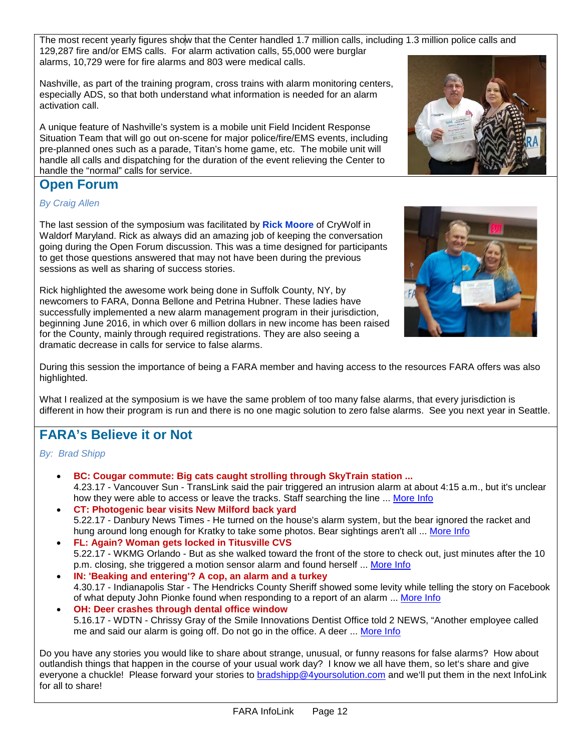The most recent yearly figures show that the Center handled 1.7 million calls, including 1.3 million police calls and 129,287 fire and/or EMS calls. For alarm activation calls, 55,000 were burglar alarms, 10,729 were for fire alarms and 803 were medical calls.

Nashville, as part of the training program, cross trains with alarm monitoring centers, especially ADS, so that both understand what information is needed for an alarm activation call.

A unique feature of Nashville's system is a mobile unit Field Incident Response Situation Team that will go out on-scene for major police/fire/EMS events, including pre-planned ones such as a parade, Titan's home game, etc. The mobile unit will handle all calls and dispatching for the duration of the event relieving the Center to handle the "normal" calls for service.

### **Open Forum**

*By Craig Allen*

The last session of the symposium was facilitated by **Rick Moore** of CryWolf in Waldorf Maryland. Rick as always did an amazing job of keeping the conversation going during the Open Forum discussion. This was a time designed for participants to get those questions answered that may not have been during the previous sessions as well as sharing of success stories.

Rick highlighted the awesome work being done in Suffolk County, NY, by newcomers to FARA, Donna Bellone and Petrina Hubner. These ladies have successfully implemented a new alarm management program in their jurisdiction, beginning June 2016, in which over 6 million dollars in new income has been raised for the County, mainly through required registrations. They are also seeing a dramatic decrease in calls for service to false alarms.

During this session the importance of being a FARA member and having access to the resources FARA offers was also highlighted.

What I realized at the symposium is we have the same problem of too many false alarms, that every jurisdiction is different in how their program is run and there is no one magic solution to zero false alarms. See you next year in Seattle.

### **FARA's Believe it or Not**

*By: Brad Shipp*

- **BC: Cougar commute: Big cats caught strolling through SkyTrain station ...** 4.23.17 - Vancouver Sun - TransLink said the pair triggered an intrusion alarm at about 4:15 a.m., but it's unclear how they were able to access or leave the tracks. Staff searching the line ... [More Info](http://vancouversun.com/news/local-news/cougar-commute-big-cats-caught-strolling-through-skytrain-station-with-video)
- **CT: Photogenic bear visits New Milford back yard** 5.22.17 - Danbury News Times - He turned on the house's alarm system, but the bear ignored the racket and hung around long enough for Kratky to take some photos. Bear sightings aren't all ... [More Info](http://www.newstimes.com/local/article/NEW-MILFORD-11165060.php)
- **FL: Again? Woman gets locked in Titusville CVS** 5.22.17 - WKMG Orlando - But as she walked toward the front of the store to check out, just minutes after the 10 p.m. closing, she triggered a motion sensor alarm and found herself ... [More Info](http://www.clickorlando.com/news/again-woman-gets-locked-intitusville-cvs)
- **IN: 'Beaking and entering'? A cop, an alarm and a turkey** 4.30.17 - Indianapolis Star - The Hendricks County Sheriff showed some levity while telling the story on Facebook of what deputy John Pionke found when responding to a report of an alarm ... [More Info](http://www.indystar.com/story/news/2017/04/30/turkey-thanksgiving-hendricks-county-sheriff/101072372/)
- **OH: Deer crashes through dental office window** 5.16.17 - WDTN - Chrissy Gray of the Smile Innovations Dentist Office told 2 NEWS, "Another employee called me and said our alarm is going off. Do not go in the office. A deer ... [More Info](https://www.google.com/url?sa=t&rct=j&q=&esrc=s&source=newssearch&cd=55&cad=rja&uact=8&ved=0ahUKEwjh-Zuf7fTTAhWIhFQKHcUjBGc4MhCpAgguKAAwBA&url=http%3A%2F%2Fwdtn.com%2F2017%2F05%2F15%2Fdeer-crashes-through-dental-office-window%2F&usg=AFQjCNHGMxQqnctlllZED7sUaEO5h6yCDw&sig2=K6lxhDcSQD8-2kTllyBlpQ)

Do you have any stories you would like to share about strange, unusual, or funny reasons for false alarms? How about outlandish things that happen in the course of your usual work day? I know we all have them, so let's share and give everyone a chuckle! Please forward your stories to [bradshipp@4yoursolution.com](mailto:bradshipp@4yoursolution.com) and we'll put them in the next InfoLink for all to share!



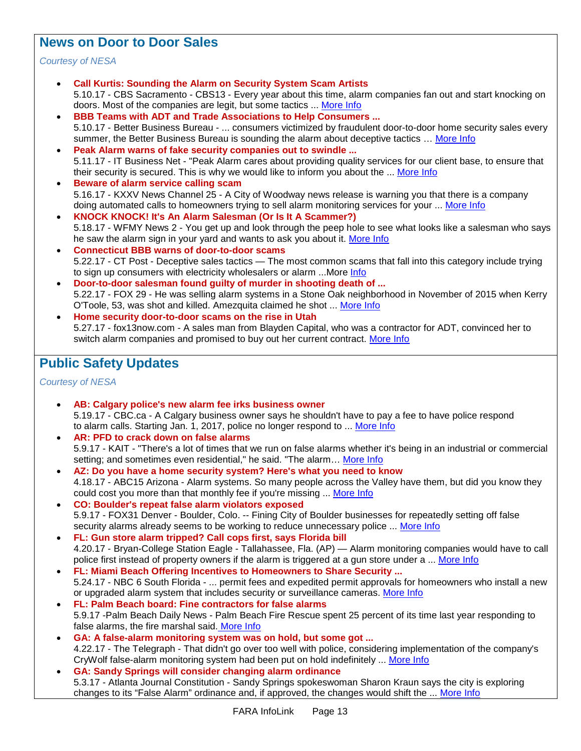### **News on Door to Door Sales**

### *Courtesy of NESA*

- **Call Kurtis: Sounding the Alarm on Security System Scam Artists** 5.10.17 - CBS Sacramento - CBS13 - Every year about this time, alarm companies fan out and start knocking on doors. Most of the companies are legit, but some tactics ... [More Info](http://sacramento.cbslocal.com/2017/05/09/alarm-company-scam/)
- **BBB Teams with ADT and Trade Associations to Help Consumers ...** 5.10.17 - Better Business Bureau - ... consumers victimized by fraudulent door-to-door home security sales every summer, the Better Business Bureau is sounding the alarm about deceptive tactics … [More Info](https://www.bbb.org/bbb-teams-with-adt-and-trade-associations-to-help-consumers-fight-deceptive-door-to-door-alarm-sales/)
- **Peak Alarm warns of fake security companies out to swindle ...** 5.11.17 - IT Business Net - "Peak Alarm cares about providing quality services for our client base, to ensure that their security is secured. This is why we would like to inform you about the ... [More Info](http://www.itbusinessnet.com/article/Peak-Alarm-warns-of-fake-security-companies-out-to-swindle-unsuspecting-customers-4952939)
- **Beware of alarm service calling scam** 5.16.17 - KXXV News Channel 25 - A City of Woodway news release is warning you that there is a company doing automated calls to homeowners trying to sell alarm monitoring services for your ... [More Info](https://www.google.com/url?sa=t&rct=j&q=&esrc=s&source=newssearch&cd=17&cad=rja&uact=8&ved=0ahUKEwjhmvrn7PTTAhWHxFQKHaHQBnQ4ChCpAgg2KAAwBg&url=http%3A%2F%2Fwww.kxxv.com%2Fstory%2F35433483%2Fbeware-of-alarm-service-calling-scam&usg=AFQjCNEwaj4m6GDd30N5mqodLOwJeWSrAg&sig2=KJdb2EEyGZx2rTgotwA4iQ)
- **KNOCK KNOCK! It's An Alarm Salesman (Or Is It A Scammer?)** 5.18.17 - WFMY News 2 - You get up and look through the peep hole to see what looks like a salesman who says he saw the alarm sign in your yard and wants to ask you about it. [More Info](https://www.google.com/url?sa=t&rct=j&q=&esrc=s&source=newssearch&cd=22&cad=rja&uact=8&ved=0ahUKEwjewvmHvfzTAhWph1QKHVanBFQ4FBCpAggkKAAwAQ&url=http%3A%2F%2Fwww.wfmynews2.com%2Fnews%2Flocal%2F2-wants-to-know%2Fknock-knock-its-an-alarm-salesman-or-is-it-a-scammer%2F440918685&usg=AFQjCNF9BsDHqPCqlCUQyr0N_5FID-81cw&sig2=JPuyWNz8Gw586xI_2VVwzQ)
- **Connecticut BBB warns of door-to-door scams** 5.22.17 - CT Post - Deceptive sales tactics — The most common scams that fall into this category include trying to sign up consumers with electricity wholesalers or alarm ...More [Info](https://www.google.com/url?sa=t&rct=j&q=&esrc=s&source=newssearch&cd=20&cad=rja&uact=8&ved=0ahUKEwih2e3Y64bUAhWIAcAKHRlZDxo4ChCpAghBKAAwCQ&url=http%3A%2F%2Fwww.ctpost.com%2Flocal%2Farticle%2FConnecticut-BBB-warns-of-door-to-door-scams-11164254.php&usg=AFQjCNG15QEernODfArfJmpKZ5BuLQ2klw&sig2=NFgS9qG98rE70qte9FhXFw)
- **Door-to-door salesman found guilty of murder in shooting death of ...** 5.22.17 - FOX 29 - He was selling alarm systems in a Stone Oak neighborhood in November of 2015 when Kerry O'Toole, 53, was shot and killed. Amezquita claimed he shot ... [More Info](http://foxsanantonio.com/news/local/jury-deliberates-fate-of-door-to-door-salesman-accused-of-killing-potential-customer)
- **Home security door-to-door scams on the rise in Utah** 5.27.17 - fox13now.com - A sales man from Blayden Capital, who was a contractor for ADT, convinced her to switch alarm companies and promised to buy out her current contract. [More Info](http://fox13now.com/2017/05/26/home-security-door-to-door-scams-on-the-rise-in-utah/)

# **Public Safety Updates**

*Courtesy of NESA*

- **AB: Calgary police's new alarm fee irks business owner** 5.19.17 - CBC.ca - A Calgary business owner says he shouldn't have to pay a fee to have police respond to alarm calls. Starting Jan. 1, 2017, police no longer respond to ... [More Info](http://www.cbc.ca/news/canada/calgary/new-alarm-fees-irk-business-owner-1.4122824)
- **AR: PFD to crack down on false alarms** 5.9.17 - KAIT - "There's a lot of times that we run on false alarms whether it's being in an industrial or commercial setting; and sometimes even residential," he said. "The alarm... [More Info](http://www.kait8.com/story/35374713/pfd-to-crack-down-on-false-alarms)
- **AZ: Do you have a home security system? Here's what you need to know** 4.18.17 - ABC15 Arizona - Alarm systems. So many people across the Valley have them, but did you know they could cost you more than that monthly fee if you're missing ... [More Info](http://www.abc15.com/news/state/do-you-have-a-home-security-system-heres-what-you-need-to-know)
- **CO: Boulder's repeat false alarm violators exposed** 5.9.17 - FOX31 Denver - Boulder, Colo. -- Fining City of Boulder businesses for repeatedly setting off false security alarms already seems to be working to reduce unnecessary police ... [More Info](http://kdvr.com/2017/05/08/boulders-repeat-false-alarm-violators-exposed/)
- **FL: Gun store alarm tripped? Call cops first, says Florida bill** 4.20.17 - Bryan-College Station Eagle - Tallahassee, Fla. (AP) — Alarm monitoring companies would have to call police first instead of property owners if the alarm is triggered at a gun store under a ... [More Info](http://www.theeagle.com/news/nation/gun-store-alarm-tripped-call-cops-first-says-florida-bill/article_e145275b-ec89-5b87-b03a-786bd626f490.html)
- **FL: Miami Beach Offering Incentives to Homeowners to Share Security ...** 5.24.17 - NBC 6 South Florida - ... permit fees and expedited permit approvals for homeowners who install a new or upgraded alarm system that includes security or surveillance cameras. [More Info](https://www.google.com/url?sa=t&rct=j&q=&esrc=s&source=newssearch&cd=174&cad=rja&uact=8&ved=0ahUKEwjU1sun6ojUAhVD54MKHclSA184qgEQqQIIKygAMAM&url=http%3A%2F%2Fwww.nbcmiami.com%2Fnews%2Flocal%2FMiami-Beach-Offering-Incentives-to-Homeowners-to-Share-Security-Camera-Footage-423892994.html&usg=AFQjCNFB4ACcCqUw3l-KI58ILxXUTXQhpg&sig2=jyy7gUnil2cellVRRLfFnQ)
- **FL: Palm Beach board: Fine contractors for false alarms** 5.9.17 -Palm Beach Daily News - Palm Beach Fire Rescue spent 25 percent of its time last year responding to false alarms, the fire marshal said. [More Info](http://www.palmbeachdailynews.com/news/local/palm-beach-board-fine-contractors-for-false-alarms/FNAb7mVMoKI0fe566bsexL/)
- **GA: A false-alarm monitoring system was on hold, but some got ...** 4.22.17 - The Telegraph - That didn't go over too well with police, considering implementation of the company's CryWolf false-alarm monitoring system had been put on hold indefinitely ... [More Info](https://www.google.com/url?sa=t&rct=j&q=&esrc=s&source=newssearch&cd=24&cad=rja&uact=8&ved=0ahUKEwj70pDu47jTAhVLySYKHXiGCDs4FBCpAggsKAAwAw&url=http%3A%2F%2Fwww.macon.com%2Fnews%2Flocal%2Fcommunity%2Fhouston-peach%2Farticle146032704.html&usg=AFQjCNFdXT0-LAqqTf5YCZic6CB2GpFIcA&sig2=8Pg3WGmQhLURzuCWes0W8Q)
- **GA: Sandy Springs will consider changing alarm ordinance** 5.3.17 - Atlanta Journal Constitution - Sandy Springs spokeswoman Sharon Kraun says the city is exploring changes to its "False Alarm" ordinance and, if approved, the changes would shift the ... [More Info](http://www.ajc.com/news/local/sandy-springs-will-consider-changing-alarm-ordinance/F2OdD8Gf7ZjwNtIPFGiPdJ/)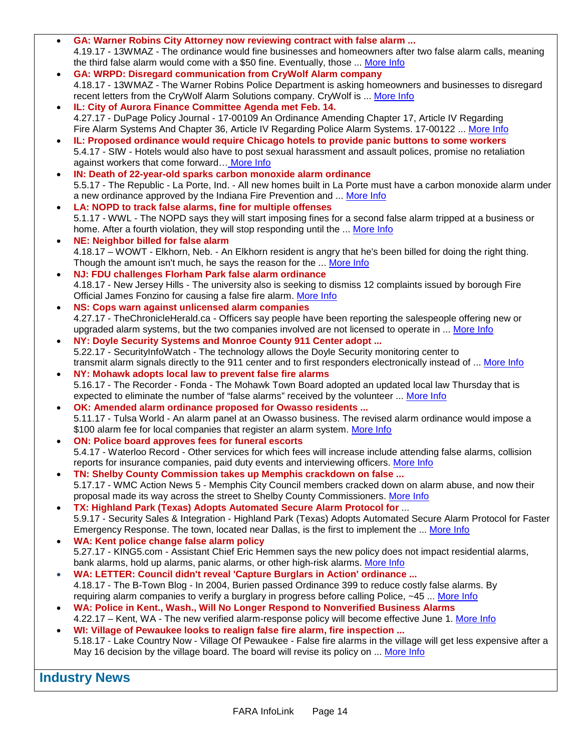- **GA: Warner Robins City Attorney now reviewing contract with false alarm ...** 4.19.17 - 13WMAZ - The ordinance would fine businesses and homeowners after two false alarm calls, meaning the third false alarm would come with a \$50 fine. Eventually, those ... [More Info](http://www.13wmaz.com/news/local/warner-robins-city-attorney-now-reviewing-contract-with-false-alarm-company/432271551)
- **GA: WRPD: Disregard communication from CryWolf Alarm company** 4.18.17 - 13WMAZ - The Warner Robins Police Department is asking homeowners and businesses to disregard recent letters from the CryWolf Alarm Solutions company. CryWolf is ... [More Info](http://www.13wmaz.com/news/local/wrpd-disregard-communication-from-crywolf-alarm-company/432045652)
- **IL: City of Aurora Finance Committee Agenda met Feb. 14.** 4.27.17 - DuPage Policy Journal - 17-00109 An Ordinance Amending Chapter 17, Article IV Regarding Fire Alarm Systems And Chapter 36, Article IV Regarding Police Alarm Systems. 17-00122 ... [More Info](https://www.google.com/url?sa=t&rct=j&q=&esrc=s&source=newssearch&cd=136&cad=rja&uact=8&ved=0ahUKEwjw45Ort8rTAhXERiYKHVTxAgI4ggEQqQIILigAMAU&url=http%3A%2F%2Fdupagepolicyjournal.com%2Fstories%2F511085989-city-of-aurora-finance-committee-agenda-met-feb-14&usg=AFQjCNHWKwXQ5Mhh9oP5I18nhUjCqLxT8g&sig2=gumD0XBqheQ0Q9W_yVMfiA)
- **IL: Proposed ordinance would require Chicago hotels to provide panic buttons to some workers** 5.4.17 - SIW - Hotels would also have to post sexual harassment and assault polices, promise no retaliation against workers that come forward… [More Info](http://www.securityinfowatch.com/news/12331640/proposed-ordinance-would-require-chicago-hotels-to-provide-panic-buttons-to-some-workers)
- **IN: Death of 22-year-old sparks carbon monoxide alarm ordinance** 5.5.17 - The Republic - La Porte, Ind. - All new homes built in La Porte must have a carbon monoxide alarm under a new ordinance approved by the Indiana Fire Prevention and ... [More Info](http://www.therepublic.com/2017/05/05/in-carbon-monoxide-alarm-law/)
- **LA: NOPD to track false alarms, fine for multiple offenses** 5.1.17 - WWL - The NOPD says they will start imposing fines for a second false alarm tripped at a business or home. After a fourth violation, they will stop responding until the ... [More Info](http://www.wwltv.com/news/local/orleans/nopd-to-start-issuing-fines-for-false-alarms/435571832)
- **NE: Neighbor billed for false alarm** 4.18.17 – WOWT - Elkhorn, Neb. - An Elkhorn resident is angry that he's been billed for doing the right thing. Though the amount isn't much, he says the reason for the ... [More Info](https://www.google.com/url?sa=t&rct=j&q=&esrc=s&source=newssearch&cd=37&cad=rja&uact=8&ved=0ahUKEwiq9Znl_K7TAhUns1QKHfE3B7M4HhCpAggzKAAwBg&url=http%3A%2F%2Fwww.wowt.com%2Fcontent%2Fnews%2FNeighbor-BIlled-For-False-Alarm-419654583.html&usg=AFQjCNFSzScBeO3L2itAFfYtH5XNXtXFVA)
- **NJ: FDU challenges Florham Park false alarm ordinance** 4.18.17 - New Jersey Hills - The university also is seeking to dismiss 12 complaints issued by borough Fire Official James Fonzino for causing a false fire alarm[. More Info](http://www.newjerseyhills.com/florham_park_eagle/news/fdu-challenges-florham-park-false-alarm-ordinance/article_83c12091-a36e-5d8f-b62e-a98abe68915e.html)
- **NS: Cops warn against unlicensed alarm companies** 4.27.17 - TheChronicleHerald.ca - Officers say people have been reporting the salespeople offering new or upgraded alarm systems, but the two companies involved are not licensed to operate in ... [More Info](http://thechronicleherald.ca/novascotia/1463434-cops-warn-against-unlicenced-alarm-companies)
- **NY: Doyle Security Systems and Monroe County 911 Center adopt ...** 5.22.17 - SecurityInfoWatch - The technology allows the Doyle Security monitoring center to transmit alarm signals directly to the 911 center and to first responders electronically instead of ... [More Info](http://www.securityinfowatch.com/press_release/12336860/doyle-security-systems-and-monroe-county-911-center-adopt-asap-program)
- **NY: Mohawk adopts local law to prevent false fire alarms** 5.16.17 - The Recorder - Fonda - The Mohawk Town Board adopted an updated local law Thursday that is expected to eliminate the number of "false alarms" received by the volunteer ... [More Info](https://www.recordernews.com/news/local-news/87210)
- **OK: Amended alarm ordinance proposed for Owasso residents ...** 5.11.17 - Tulsa World - An alarm panel at an Owasso business. The revised alarm ordinance would impose a \$100 alarm fee for local companies that register an alarm system. [More Info](http://www.tulsaworld.com/communities/owasso/news/communitynews/amended-alarm-ordinance-proposed-for-owasso-residents-businesses/article_e65f360e-f016-5b0d-807c-7fad74535f6b.html)
- **ON: Police board approves fees for funeral escorts** 5.4.17 - Waterloo Record - Other services for which fees will increase include attending false alarms, collision reports for insurance companies, paid duty events and interviewing officers. [More Info](https://www.google.com/url?sa=t&rct=j&q=&esrc=s&source=newssearch&cd=74&cad=rja&uact=8&ved=0ahUKEwj37dDo2NbTAhUEZCYKHTwmAgU4RhCpAggpKAAwAw&url=http%3A%2F%2Fwww.therecord.com%2Fnews-story%2F7285867-police-board-approves-fees-for-funeral-escorts%2F&usg=AFQjCNEPWhJzPg3Zl4umCP2MLAYSQJGK8g&sig2=TIiKcLf4pkvUuKIUSEW7zw)
- **TN: Shelby County Commission takes up Memphis crackdown on false ...** 5.17.17 - WMC Action News 5 - Memphis City Council members cracked down on alarm abuse, and now their proposal made its way across the street to Shelby County Commissioners. [More Info](http://www.wmcactionnews5.com/story/35455263/shelby-county-commission-takes-up-memphis-crackdown-on-false-alarm-calls)
- **TX: Highland Park (Texas) Adopts Automated Secure Alarm Protocol for** ... 5.9.17 - Security Sales & Integration - Highland Park (Texas) Adopts Automated Secure Alarm Protocol for Faster Emergency Response. The town, located near Dallas, is the first to implement the ... [More Info](http://www.securitysales.com/article/highland_park_texas_adopts_automated_secure_alarm_protocol/news)
- **WA: Kent police change false alarm policy** 5.27.17 - KING5.com - Assistant Chief Eric Hemmen says the new policy does not impact residential alarms, bank alarms, hold up alarms, panic alarms, or other high-risk alarms. [More Info](http://www.king5.com/news/local/kent-police-change-false-alarm-policy/443489971)
- **WA: LETTER: Council didn't reveal 'Capture Burglars in Action' ordinance ...** 4.18.17 - The B-Town Blog - In 2004, Burien passed Ordinance 399 to reduce costly false alarms. By requiring alarm companies to verify a burglary in progress before calling Police, ~45 ... [More Info](http://b-townblog.com/2017/04/18/letter-council-didnt-reveal-capture-burglars-in-action-ordinance-635/)
- **WA: Police in Kent., Wash., Will No Longer Respond to Nonverified Business Alarms** 4.22.17 – Kent, WA - The new verified alarm-response policy will become effective June 1. [More Info](http://ea.ecn5.com/Clicks/djMrc3M2MFVJd0I2S1RqdXprZzhuZ3h4cm4wYnhBbU1KbXUwcjYxbFFES3Z5eE5iZDlDMWxnNk1Cd2ZZNVFYMQ%3d%3d)
- **WI: Village of Pewaukee looks to realign false fire alarm, fire inspection ...** 5.18.17 - Lake Country Now - Village Of Pewaukee - False fire alarms in the village will get less expensive after a May 16 decision by the village board. The board will revise its policy on ... [More Info](http://www.lakecountrynow.com/story/news/local/lake-country-reporter/2017/05/18/village-pewaukee-looks-realign-false-fire-alarm-fire-inspection-charges/327281001/)

**Industry News**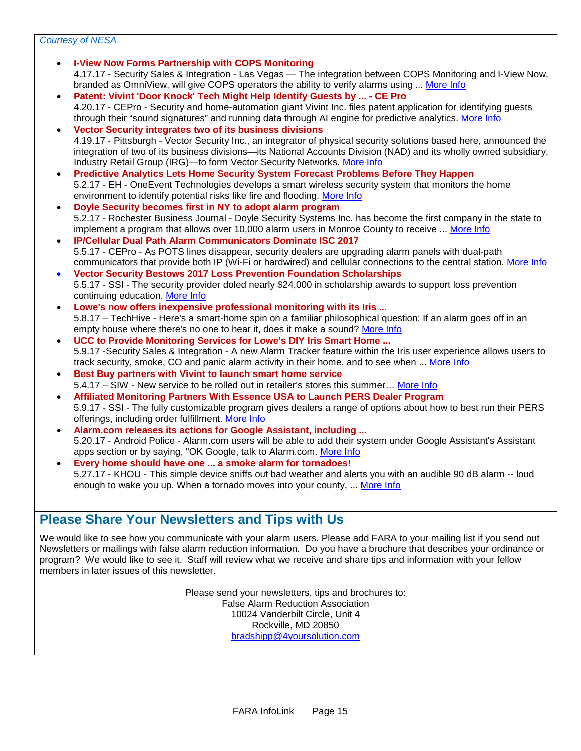#### *Courtesy of NESA*

- **I-View Now Forms Partnership with COPS Monitoring** 4.17.17 - Security Sales & Integration - Las Vegas — The integration between COPS Monitoring and I-View Now, branded as OmniView, will give COPS operators the ability to verify alarms using ... [More Info](http://www.securitysales.com/article/i_view_partnership_cops_monitoring/news) • **Patent: Vivint 'Door Knock' Tech Might Help Identify Guests by ... - CE Pro** 4.20.17 - CEPro - Security and home-automation giant Vivint Inc. files patent application for identifying guests through their "sound signatures" and running data through AI engine for predictive analytics. [More Info](http://www.cepro.com/article/patent_audio_analytics_ai_vivint_door_knock_identify_people_sound_signature) • **Vector Security integrates two of its business divisions** 4.19.17 - Pittsburgh - Vector Security Inc., an integrator of physical security solutions based here, announced the integration of two of its business divisions—its National Accounts Division (NAD) and its wholly owned subsidiary, Industry Retail Group (IRG)—to form Vector Security Networks. [More Info](http://www.securitysystemsnews.com/article/vector-security-integrates-two-its-business-divisions) • **Predictive Analytics Lets Home Security System Forecast Problems Before They Happen** 5.2.17 - EH - OneEvent Technologies develops a smart wireless security system that monitors the home environment to identify potential risks like fire and flooding. [More Info](http://ehpub.acemlnb.com/lt.php?s=01bd6d4602e0612b18235a88a38a1fae&i=1257A2275A10A71229) • **Doyle Security becomes first in NY to adopt alarm program** 5.2.17 - Rochester Business Journal - Doyle Security Systems Inc. has become the first company in the state to implement a program that allows over 10,000 alarm users in Monroe County to receive ... [More Info](http://rbj.net/2017/05/01/doyle-security-becomes-first-in-n-y-to-adopt-program/) • **IP/Cellular Dual Path Alarm Communicators Dominate ISC 2017** 5.5.17 - CEPro - As POTS lines disappear, security dealers are upgrading alarm panels with dual-path communicators that provide both IP (Wi-Fi or hardwired) and cellular connections to the central station. [More Info](http://ea.ecn5.com/Clicks/UEdTb0o0KzRFKyt1VUlpdjZqeUJSU3podERodEFNZkFZR1VYTHhldi9zcWVkb29vR09aZ054RmNwRVlSb3d5YVhodDhmZzNCU0NRcGJ6U2VjKzFleUE9PQ%3d%3d) • **Vector Security Bestows 2017 Loss Prevention Foundation Scholarships** 5.5.17 - SSI - The security provider doled nearly \$24,000 in scholarship awards to support loss prevention continuing education. [More Info](http://www.securitysales.com/article/vector_security_bestows_2017_loss_prevention_foundation_scholarships?utm_source=rewind&utm_medium=email&utm_campaign=editorial&eid=343151720&bid=1747152) • **Lowe's now offers inexpensive professional monitoring with its Iris ...** 5.8.17 – TechHive - Here's a smart-home spin on a familiar philosophical question: If an alarm goes off in an empty house where there's no one to hear it, does it make a sound? [More Info](http://www.techhive.com/article/3195065/hubs-controllers/lowe-s-now-offers-inexpensive-professional-monitoring-with-its-iris-smart-home-service.html) • **UCC to Provide Monitoring Services for Lowe's DIY Iris Smart Home ...** 5.9.17 -Security Sales & Integration - A new Alarm Tracker feature within the Iris user experience allows users to track security, smoke, CO and panic alarm activity in their home, and to see when ... [More Info](http://www.securitysales.com/article/ucc_to_provide_monitoring_services_for_lowes_diy_iris_smart_home_system/news) • **Best Buy partners with Vivint to launch smart home service**  5.4.17 – SIW - New service to be rolled out in retailer's stores this summer… [More Info](http://news.southcommmail.com/portal/wts/uemc%7C9efz9s6egz%3BE6jC%5ESnO%5Ec7jk8zyaTAmR9Bv4mMYXd8%5EO0ozvTOhSd) • **Affiliated Monitoring Partners With Essence USA to Launch PERS Dealer Program** 5.9.17 - SSI - The fully customizable program gives dealers a range of options about how to best run their PERS offerings, including order fulfillment. [More Info](http://www.securitysales.com/article/affiliated_monitoring_partners_with_essence_usa_to_launch_pers_focused_deal?utm_source=newsletter&utm_medium=email&utm_campaign=editorial&eid=343151720&bid=1749543) • **Alarm.com releases its actions for Google Assistant, including ...**
	- 5.20.17 Android Police Alarm.com users will be able to add their system under Google Assistant's Assistant apps section or by saying, "OK Google, talk to Alarm.com. [More Info](http://www.androidpolice.com/2017/05/20/alarm-com-releases-actions-google-assistant-including-locking-doors-disarming-security-systems/) • **Every home should have one ... a smoke alarm for tornadoes!**
	- 5.27.17 KHOU This simple device sniffs out bad weather and alerts you with an audible 90 dB alarm -- loud enough to wake you up. When a tornado moves into your county, ... [More Info](http://www.khou.com/news/local/every-home-should-have-one-a-smoke-alarm-for-tornadoes/443308210)

### **Please Share Your Newsletters and Tips with Us**

We would like to see how you communicate with your alarm users. Please add FARA to your mailing list if you send out Newsletters or mailings with false alarm reduction information. Do you have a brochure that describes your ordinance or program? We would like to see it. Staff will review what we receive and share tips and information with your fellow members in later issues of this newsletter.

> Please send your newsletters, tips and brochures to: False Alarm Reduction Association 10024 Vanderbilt Circle, Unit 4 Rockville, MD 20850 [bradshipp@4yoursolution.com](mailto:bradshipp@4yoursolution.com)